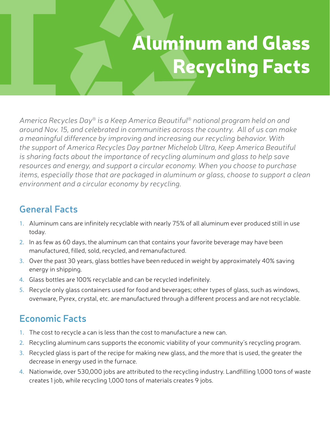# Aluminum and Glass Recycling Facts

*America Recycles Day® is a Keep America Beautiful® national program held on and around Nov. 15, and celebrated in communities across the country. All of us can make a meaningful difference by improving and increasing our recycling behavior. With the support of America Recycles Day partner Michelob Ultra, Keep America Beautiful is sharing facts about the importance of recycling aluminum and glass to help save resources and energy, and support a circular economy. When you choose to purchase items, especially those that are packaged in aluminum or glass, choose to support a clean environment and a circular economy by recycling.* 

#### **General Facts**

- 1. Aluminum cans are infinitely recyclable with nearly 75% of all aluminum ever produced still in use today.
- 2. In as few as 60 days, the aluminum can that contains your favorite beverage may have been manufactured, filled, sold, recycled, and remanufactured.
- 3. Over the past 30 years, glass bottles have been reduced in weight by approximately 40% saving energy in shipping.
- 4. Glass bottles are 100% recyclable and can be recycled indefinitely.
- 5. Recycle only glass containers used for food and beverages; other types of glass, such as windows, ovenware, Pyrex, crystal, etc. are manufactured through a different process and are not recyclable.

### **Economic Facts**

- 1. The cost to recycle a can is less than the cost to manufacture a new can.
- 2. Recycling aluminum cans supports the economic viability of your community's recycling program.
- 3. Recycled glass is part of the recipe for making new glass, and the more that is used, the greater the decrease in energy used in the furnace.
- 4. Nationwide, over 530,000 jobs are attributed to the recycling industry. Landfilling 1,000 tons of waste creates 1 job, while recycling 1,000 tons of materials creates 9 jobs.